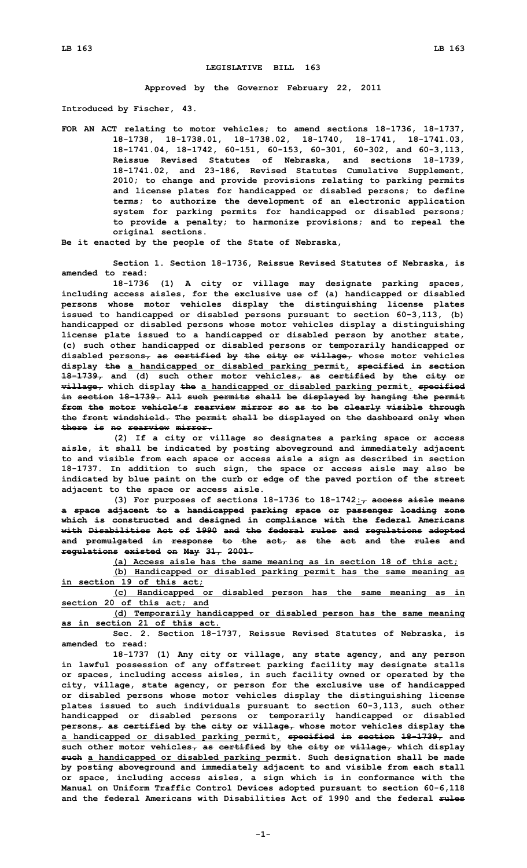## **LEGISLATIVE BILL 163**

**Approved by the Governor February 22, 2011**

**Introduced by Fischer, 43.**

**FOR AN ACT relating to motor vehicles; to amend sections 18-1736, 18-1737, 18-1738, 18-1738.01, 18-1738.02, 18-1740, 18-1741, 18-1741.03, 18-1741.04, 18-1742, 60-151, 60-153, 60-301, 60-302, and 60-3,113, Reissue Revised Statutes of Nebraska, and sections 18-1739, 18-1741.02, and 23-186, Revised Statutes Cumulative Supplement, 2010; to change and provide provisions relating to parking permits and license plates for handicapped or disabled persons; to define terms; to authorize the development of an electronic application system for parking permits for handicapped or disabled persons; to provide <sup>a</sup> penalty; to harmonize provisions; and to repeal the original sections.**

**Be it enacted by the people of the State of Nebraska,**

**Section 1. Section 18-1736, Reissue Revised Statutes of Nebraska, is amended to read:**

**18-1736 (1) <sup>A</sup> city or village may designate parking spaces, including access aisles, for the exclusive use of (a) handicapped or disabled persons whose motor vehicles display the distinguishing license plates issued to handicapped or disabled persons pursuant to section 60-3,113, (b) handicapped or disabled persons whose motor vehicles display <sup>a</sup> distinguishing license plate issued to <sup>a</sup> handicapped or disabled person by another state, (c) such other handicapped or disabled persons or temporarily handicapped or disabled persons, as certified by the city or village, whose motor vehicles display the <sup>a</sup> handicapped or disabled parking permit, specified in section 18-1739, and (d) such other motor vehicles, as certified by the city or village, which display the <sup>a</sup> handicapped or disabled parking permit. specified in section 18-1739. All such permits shall be displayed by hanging the permit from the motor vehicle's rearview mirror so as to be clearly visible through the front windshield. The permit shall be displayed on the dashboard only when there is no rearview mirror.**

**(2) If <sup>a</sup> city or village so designates <sup>a</sup> parking space or access aisle, it shall be indicated by posting aboveground and immediately adjacent to and visible from each space or access aisle <sup>a</sup> sign as described in section 18-1737. In addition to such sign, the space or access aisle may also be indicated by blue paint on the curb or edge of the paved portion of the street adjacent to the space or access aisle.**

**(3) For purposes of sections 18-1736 to 18-1742:, access aisle means <sup>a</sup> space adjacent to <sup>a</sup> handicapped parking space or passenger loading zone which is constructed and designed in compliance with the federal Americans with Disabilities Act of 1990 and the federal rules and regulations adopted and promulgated in response to the act, as the act and the rules and regulations existed on May 31, 2001.**

**(a) Access aisle has the same meaning as in section 18 of this act;**

**(b) Handicapped or disabled parking permit has the same meaning as in section 19 of this act;**

**(c) Handicapped or disabled person has the same meaning as in section 20 of this act; and**

**(d) Temporarily handicapped or disabled person has the same meaning as in section 21 of this act.**

**Sec. 2. Section 18-1737, Reissue Revised Statutes of Nebraska, is amended to read:**

**18-1737 (1) Any city or village, any state agency, and any person in lawful possession of any offstreet parking facility may designate stalls or spaces, including access aisles, in such facility owned or operated by the city, village, state agency, or person for the exclusive use of handicapped or disabled persons whose motor vehicles display the distinguishing license plates issued to such individuals pursuant to section 60-3,113, such other handicapped or disabled persons or temporarily handicapped or disabled persons, as certified by the city or village, whose motor vehicles display the <sup>a</sup> handicapped or disabled parking permit, specified in section 18-1739, and such other motor vehicles, as certified by the city or village, which display such <sup>a</sup> handicapped or disabled parking permit. Such designation shall be made by posting aboveground and immediately adjacent to and visible from each stall or space, including access aisles, <sup>a</sup> sign which is in conformance with the Manual on Uniform Traffic Control Devices adopted pursuant to section 60-6,118 and the federal Americans with Disabilities Act of 1990 and the federal rules**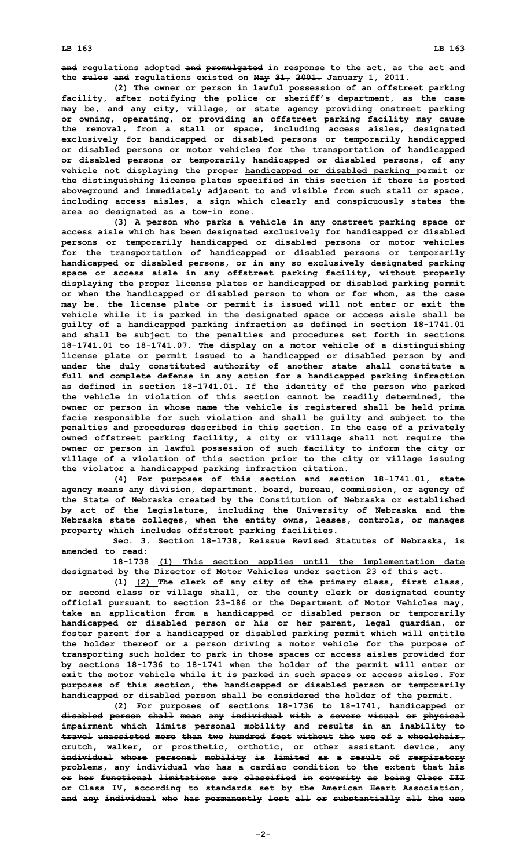**and regulations adopted and promulgated in response to the act, as the act and the rules and regulations existed on May 31, 2001. January 1, 2011.**

**(2) The owner or person in lawful possession of an offstreet parking facility, after notifying the police or sheriff's department, as the case may be, and any city, village, or state agency providing onstreet parking or owning, operating, or providing an offstreet parking facility may cause the removal, from <sup>a</sup> stall or space, including access aisles, designated exclusively for handicapped or disabled persons or temporarily handicapped or disabled persons or motor vehicles for the transportation of handicapped or disabled persons or temporarily handicapped or disabled persons, of any vehicle not displaying the proper handicapped or disabled parking permit or the distinguishing license plates specified in this section if there is posted aboveground and immediately adjacent to and visible from such stall or space, including access aisles, <sup>a</sup> sign which clearly and conspicuously states the area so designated as <sup>a</sup> tow-in zone.**

**(3) <sup>A</sup> person who parks <sup>a</sup> vehicle in any onstreet parking space or access aisle which has been designated exclusively for handicapped or disabled persons or temporarily handicapped or disabled persons or motor vehicles for the transportation of handicapped or disabled persons or temporarily handicapped or disabled persons, or in any so exclusively designated parking space or access aisle in any offstreet parking facility, without properly displaying the proper license plates or handicapped or disabled parking permit or when the handicapped or disabled person to whom or for whom, as the case may be, the license plate or permit is issued will not enter or exit the vehicle while it is parked in the designated space or access aisle shall be guilty of <sup>a</sup> handicapped parking infraction as defined in section 18-1741.01 and shall be subject to the penalties and procedures set forth in sections 18-1741.01 to 18-1741.07. The display on <sup>a</sup> motor vehicle of <sup>a</sup> distinguishing license plate or permit issued to <sup>a</sup> handicapped or disabled person by and under the duly constituted authority of another state shall constitute <sup>a</sup> full and complete defense in any action for <sup>a</sup> handicapped parking infraction as defined in section 18-1741.01. If the identity of the person who parked the vehicle in violation of this section cannot be readily determined, the owner or person in whose name the vehicle is registered shall be held prima facie responsible for such violation and shall be guilty and subject to the penalties and procedures described in this section. In the case of <sup>a</sup> privately owned offstreet parking facility, <sup>a</sup> city or village shall not require the owner or person in lawful possession of such facility to inform the city or village of <sup>a</sup> violation of this section prior to the city or village issuing the violator <sup>a</sup> handicapped parking infraction citation.**

**(4) For purposes of this section and section 18-1741.01, state agency means any division, department, board, bureau, commission, or agency of the State of Nebraska created by the Constitution of Nebraska or established by act of the Legislature, including the University of Nebraska and the Nebraska state colleges, when the entity owns, leases, controls, or manages property which includes offstreet parking facilities.**

**Sec. 3. Section 18-1738, Reissue Revised Statutes of Nebraska, is amended to read:**

**18-1738 (1) This section applies until the implementation date designated by the Director of Motor Vehicles under section 23 of this act.**

**(1) (2) The clerk of any city of the primary class, first class, or second class or village shall, or the county clerk or designated county official pursuant to section 23-186 or the Department of Motor Vehicles may, take an application from <sup>a</sup> handicapped or disabled person or temporarily handicapped or disabled person or his or her parent, legal guardian, or foster parent for <sup>a</sup> handicapped or disabled parking permit which will entitle the holder thereof or <sup>a</sup> person driving <sup>a</sup> motor vehicle for the purpose of transporting such holder to park in those spaces or access aisles provided for by sections 18-1736 to 18-1741 when the holder of the permit will enter or exit the motor vehicle while it is parked in such spaces or access aisles. For purposes of this section, the handicapped or disabled person or temporarily handicapped or disabled person shall be considered the holder of the permit.**

**(2) For purposes of sections 18-1736 to 18-1741, handicapped or disabled person shall mean any individual with <sup>a</sup> severe visual or physical impairment which limits personal mobility and results in an inability to travel unassisted more than two hundred feet without the use of <sup>a</sup> wheelchair, crutch, walker, or prosthetic, orthotic, or other assistant device, any individual whose personal mobility is limited as <sup>a</sup> result of respiratory problems, any individual who has <sup>a</sup> cardiac condition to the extent that his or her functional limitations are classified in severity as being Class III or Class IV, according to standards set by the American Heart Association, and any individual who has permanently lost all or substantially all the use**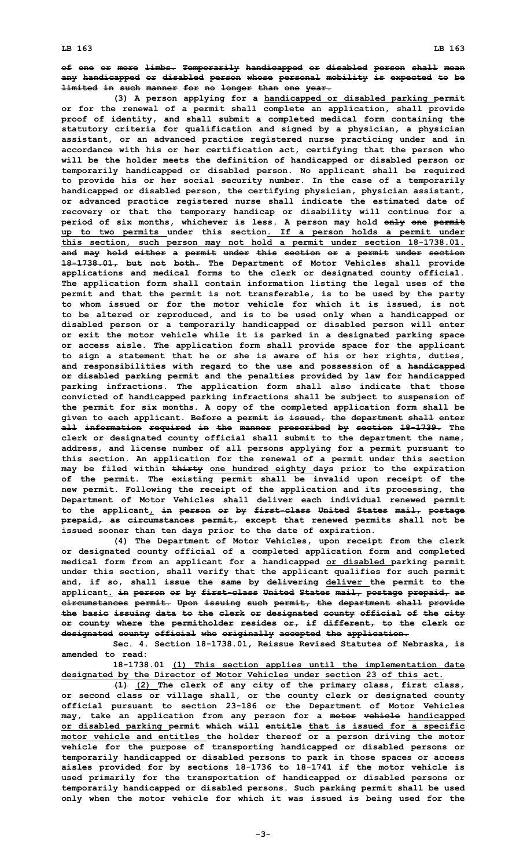**of one or more limbs. Temporarily handicapped or disabled person shall mean any handicapped or disabled person whose personal mobility is expected to be limited in such manner for no longer than one year.**

**(3) <sup>A</sup> person applying for <sup>a</sup> handicapped or disabled parking permit or for the renewal of <sup>a</sup> permit shall complete an application, shall provide proof of identity, and shall submit <sup>a</sup> completed medical form containing the statutory criteria for qualification and signed by <sup>a</sup> physician, <sup>a</sup> physician assistant, or an advanced practice registered nurse practicing under and in accordance with his or her certification act, certifying that the person who will be the holder meets the definition of handicapped or disabled person or temporarily handicapped or disabled person. No applicant shall be required to provide his or her social security number. In the case of <sup>a</sup> temporarily handicapped or disabled person, the certifying physician, physician assistant, or advanced practice registered nurse shall indicate the estimated date of recovery or that the temporary handicap or disability will continue for <sup>a</sup> period of six months, whichever is less. A person may hold only one permit up to two permits under this section. If <sup>a</sup> person holds <sup>a</sup> permit under this section, such person may not hold <sup>a</sup> permit under section 18-1738.01. and may hold either <sup>a</sup> permit under this section or <sup>a</sup> permit under section 18-1738.01, but not both. The Department of Motor Vehicles shall provide applications and medical forms to the clerk or designated county official. The application form shall contain information listing the legal uses of the permit and that the permit is not transferable, is to be used by the party to whom issued or for the motor vehicle for which it is issued, is not to be altered or reproduced, and is to be used only when <sup>a</sup> handicapped or disabled person or <sup>a</sup> temporarily handicapped or disabled person will enter or exit the motor vehicle while it is parked in <sup>a</sup> designated parking space or access aisle. The application form shall provide space for the applicant to sign <sup>a</sup> statement that he or she is aware of his or her rights, duties, and responsibilities with regard to the use and possession of <sup>a</sup> handicapped or disabled parking permit and the penalties provided by law for handicapped parking infractions. The application form shall also indicate that those convicted of handicapped parking infractions shall be subject to suspension of the permit for six months. A copy of the completed application form shall be given to each applicant. Before <sup>a</sup> permit is issued, the department shall enter all information required in the manner prescribed by section 18-1739. The clerk or designated county official shall submit to the department the name, address, and license number of all persons applying for <sup>a</sup> permit pursuant to this section. An application for the renewal of <sup>a</sup> permit under this section may be filed within thirty one hundred eighty days prior to the expiration of the permit. The existing permit shall be invalid upon receipt of the new permit. Following the receipt of the application and its processing, the Department of Motor Vehicles shall deliver each individual renewed permit to the applicant, in person or by first-class United States mail, postage prepaid, as circumstances permit, except that renewed permits shall not be issued sooner than ten days prior to the date of expiration.**

**(4) The Department of Motor Vehicles, upon receipt from the clerk or designated county official of <sup>a</sup> completed application form and completed medical form from an applicant for <sup>a</sup> handicapped or disabled parking permit under this section, shall verify that the applicant qualifies for such permit and, if so, shall issue the same by delivering deliver the permit to the applicant. in person or by first-class United States mail, postage prepaid, as circumstances permit. Upon issuing such permit, the department shall provide the basic issuing data to the clerk or designated county official of the city or county where the permitholder resides or, if different, to the clerk or designated county official who originally accepted the application.**

**Sec. 4. Section 18-1738.01, Reissue Revised Statutes of Nebraska, is amended to read:**

**18-1738.01 (1) This section applies until the implementation date designated by the Director of Motor Vehicles under section 23 of this act.**

**(1) (2) The clerk of any city of the primary class, first class, or second class or village shall, or the county clerk or designated county official pursuant to section 23-186 or the Department of Motor Vehicles may, take an application from any person for <sup>a</sup> motor vehicle handicapped or disabled parking permit which will entitle that is issued for <sup>a</sup> specific motor vehicle and entitles the holder thereof or <sup>a</sup> person driving the motor vehicle for the purpose of transporting handicapped or disabled persons or temporarily handicapped or disabled persons to park in those spaces or access aisles provided for by sections 18-1736 to 18-1741 if the motor vehicle is used primarily for the transportation of handicapped or disabled persons or temporarily handicapped or disabled persons. Such parking permit shall be used only when the motor vehicle for which it was issued is being used for the**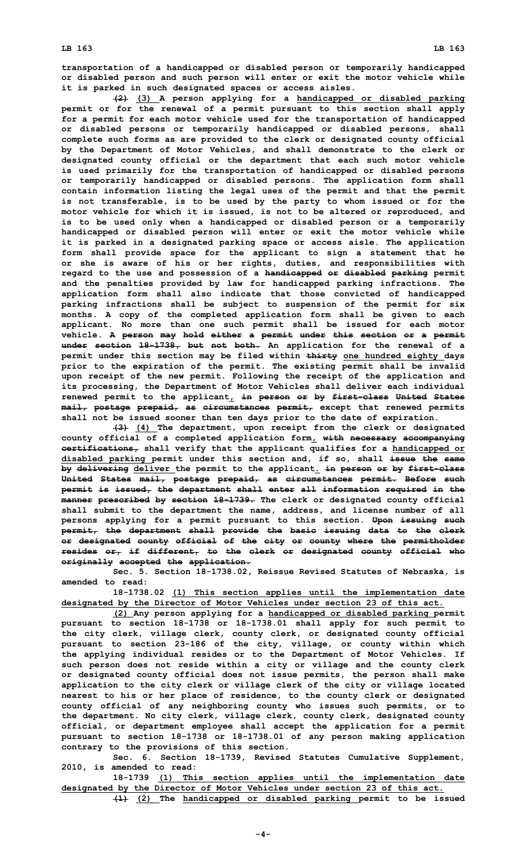**transportation of <sup>a</sup> handicapped or disabled person or temporarily handicapped or disabled person and such person will enter or exit the motor vehicle while it is parked in such designated spaces or access aisles.**

**(2) (3) <sup>A</sup> person applying for <sup>a</sup> handicapped or disabled parking permit or for the renewal of <sup>a</sup> permit pursuant to this section shall apply for <sup>a</sup> permit for each motor vehicle used for the transportation of handicapped or disabled persons or temporarily handicapped or disabled persons, shall complete such forms as are provided to the clerk or designated county official by the Department of Motor Vehicles, and shall demonstrate to the clerk or designated county official or the department that each such motor vehicle is used primarily for the transportation of handicapped or disabled persons or temporarily handicapped or disabled persons. The application form shall contain information listing the legal uses of the permit and that the permit is not transferable, is to be used by the party to whom issued or for the motor vehicle for which it is issued, is not to be altered or reproduced, and is to be used only when <sup>a</sup> handicapped or disabled person or <sup>a</sup> temporarily handicapped or disabled person will enter or exit the motor vehicle while it is parked in <sup>a</sup> designated parking space or access aisle. The application form shall provide space for the applicant to sign <sup>a</sup> statement that he or she is aware of his or her rights, duties, and responsibilities with regard to the use and possession of <sup>a</sup> handicapped or disabled parking permit and the penalties provided by law for handicapped parking infractions. The application form shall also indicate that those convicted of handicapped parking infractions shall be subject to suspension of the permit for six months. A copy of the completed application form shall be given to each applicant. No more than one such permit shall be issued for each motor vehicle. A person may hold either <sup>a</sup> permit under this section or <sup>a</sup> permit under section 18-1738, but not both. An application for the renewal of <sup>a</sup> permit under this section may be filed within thirty one hundred eighty days prior to the expiration of the permit. The existing permit shall be invalid upon receipt of the new permit. Following the receipt of the application and its processing, the Department of Motor Vehicles shall deliver each individual renewed permit to the applicant, in person or by first-class United States mail, postage prepaid, as circumstances permit, except that renewed permits shall not be issued sooner than ten days prior to the date of expiration.**

**(3) (4) The department, upon receipt from the clerk or designated county official of <sup>a</sup> completed application form, with necessary accompanying certifications, shall verify that the applicant qualifies for <sup>a</sup> handicapped or disabled parking permit under this section and, if so, shall issue the same by delivering deliver the permit to the applicant. in person or by first-class United States mail, postage prepaid, as circumstances permit. Before such permit is issued, the department shall enter all information required in the manner prescribed by section 18-1739. The clerk or designated county official shall submit to the department the name, address, and license number of all persons applying for <sup>a</sup> permit pursuant to this section. Upon issuing such permit, the department shall provide the basic issuing data to the clerk or designated county official of the city or county where the permitholder resides or, if different, to the clerk or designated county official who originally accepted the application.**

**Sec. 5. Section 18-1738.02, Reissue Revised Statutes of Nebraska, is amended to read:**

**18-1738.02 (1) This section applies until the implementation date designated by the Director of Motor Vehicles under section 23 of this act.**

**(2) Any person applying for <sup>a</sup> handicapped or disabled parking permit pursuant to section 18-1738 or 18-1738.01 shall apply for such permit to the city clerk, village clerk, county clerk, or designated county official pursuant to section 23-186 of the city, village, or county within which the applying individual resides or to the Department of Motor Vehicles. If such person does not reside within <sup>a</sup> city or village and the county clerk or designated county official does not issue permits, the person shall make application to the city clerk or village clerk of the city or village located nearest to his or her place of residence, to the county clerk or designated county official of any neighboring county who issues such permits, or to the department. No city clerk, village clerk, county clerk, designated county official, or department employee shall accept the application for <sup>a</sup> permit pursuant to section 18-1738 or 18-1738.01 of any person making application contrary to the provisions of this section.**

**Sec. 6. Section 18-1739, Revised Statutes Cumulative Supplement, 2010, is amended to read:**

**18-1739 (1) This section applies until the implementation date designated by the Director of Motor Vehicles under section 23 of this act.**

**(1) (2) The handicapped or disabled parking permit to be issued**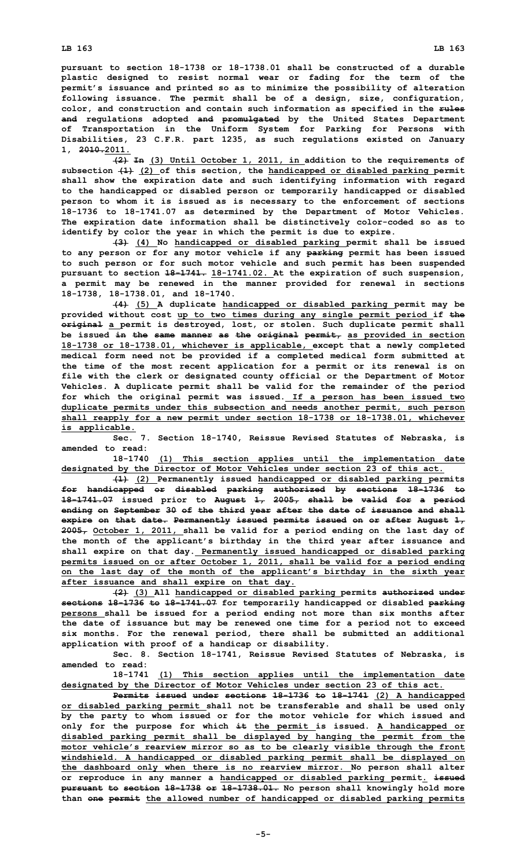## **LB 163 LB 163**

**pursuant to section 18-1738 or 18-1738.01 shall be constructed of <sup>a</sup> durable plastic designed to resist normal wear or fading for the term of the permit's issuance and printed so as to minimize the possibility of alteration following issuance. The permit shall be of <sup>a</sup> design, size, configuration, color, and construction and contain such information as specified in the rules and regulations adopted and promulgated by the United States Department of Transportation in the Uniform System for Parking for Persons with Disabilities, 23 C.F.R. part 1235, as such regulations existed on January 1, 2010.2011.**

**(2) In (3) Until October 1, 2011, in addition to the requirements of subsection (1) (2) of this section, the handicapped or disabled parking permit shall show the expiration date and such identifying information with regard to the handicapped or disabled person or temporarily handicapped or disabled person to whom it is issued as is necessary to the enforcement of sections 18-1736 to 18-1741.07 as determined by the Department of Motor Vehicles. The expiration date information shall be distinctively color-coded so as to identify by color the year in which the permit is due to expire.**

**(3) (4) No handicapped or disabled parking permit shall be issued to any person or for any motor vehicle if any parking permit has been issued to such person or for such motor vehicle and such permit has been suspended pursuant to section 18-1741. 18-1741.02. At the expiration of such suspension, <sup>a</sup> permit may be renewed in the manner provided for renewal in sections 18-1738, 18-1738.01, and 18-1740.**

**(4) (5) <sup>A</sup> duplicate handicapped or disabled parking permit may be provided without cost up to two times during any single permit period if the original <sup>a</sup> permit is destroyed, lost, or stolen. Such duplicate permit shall be issued in the same manner as the original permit, as provided in section 18-1738 or 18-1738.01, whichever is applicable, except that <sup>a</sup> newly completed medical form need not be provided if <sup>a</sup> completed medical form submitted at the time of the most recent application for <sup>a</sup> permit or its renewal is on file with the clerk or designated county official or the Department of Motor Vehicles. A duplicate permit shall be valid for the remainder of the period for which the original permit was issued. If <sup>a</sup> person has been issued two duplicate permits under this subsection and needs another permit, such person shall reapply for <sup>a</sup> new permit under section 18-1738 or 18-1738.01, whichever is applicable.**

**Sec. 7. Section 18-1740, Reissue Revised Statutes of Nebraska, is amended to read:**

**18-1740 (1) This section applies until the implementation date designated by the Director of Motor Vehicles under section 23 of this act.**

**(1) (2) Permanently issued handicapped or disabled parking permits for handicapped or disabled parking authorized by sections 18-1736 to 18-1741.07 issued prior to August 1, 2005, shall be valid for <sup>a</sup> period ending on September 30 of the third year after the date of issuance and shall expire on that date. Permanently issued permits issued on or after August 1, 2005, October 1, 2011, shall be valid for <sup>a</sup> period ending on the last day of the month of the applicant's birthday in the third year after issuance and shall expire on that day. Permanently issued handicapped or disabled parking permits issued on or after October 1, 2011, shall be valid for <sup>a</sup> period ending on the last day of the month of the applicant's birthday in the sixth year after issuance and shall expire on that day.**

**(2) (3) All handicapped or disabled parking permits authorized under sections 18-1736 to 18-1741.07 for temporarily handicapped or disabled parking persons shall be issued for <sup>a</sup> period ending not more than six months after the date of issuance but may be renewed one time for <sup>a</sup> period not to exceed six months. For the renewal period, there shall be submitted an additional application with proof of <sup>a</sup> handicap or disability.**

**Sec. 8. Section 18-1741, Reissue Revised Statutes of Nebraska, is amended to read:**

**18-1741 (1) This section applies until the implementation date designated by the Director of Motor Vehicles under section 23 of this act.**

**Permits issued under sections 18-1736 to 18-1741 (2) <sup>A</sup> handicapped or disabled parking permit shall not be transferable and shall be used only by the party to whom issued or for the motor vehicle for which issued and only for the purpose for which it the permit is issued. A handicapped or disabled parking permit shall be displayed by hanging the permit from the motor vehicle's rearview mirror so as to be clearly visible through the front windshield. A handicapped or disabled parking permit shall be displayed on the dashboard only when there is no rearview mirror. No person shall alter or reproduce in any manner <sup>a</sup> handicapped or disabled parking permit. issued pursuant to section 18-1738 or 18-1738.01. No person shall knowingly hold more than one permit the allowed number of handicapped or disabled parking permits**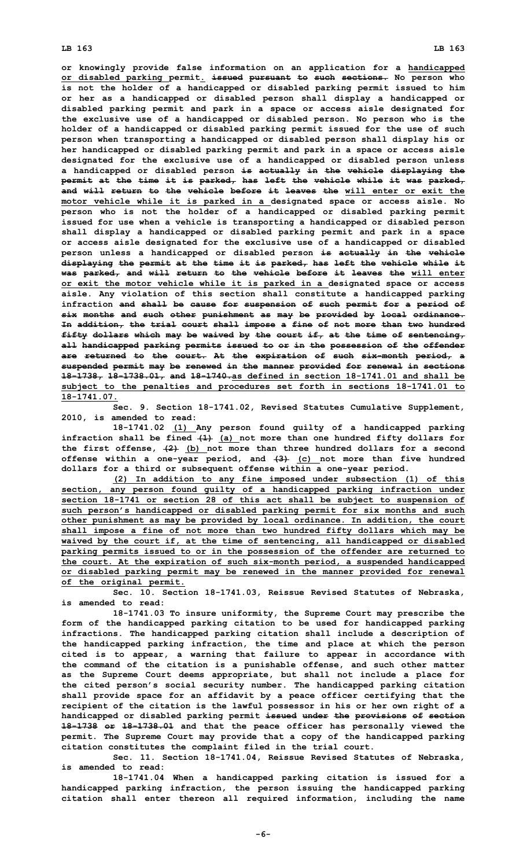**or knowingly provide false information on an application for <sup>a</sup> handicapped or disabled parking permit. issued pursuant to such sections. No person who is not the holder of <sup>a</sup> handicapped or disabled parking permit issued to him or her as <sup>a</sup> handicapped or disabled person shall display <sup>a</sup> handicapped or disabled parking permit and park in <sup>a</sup> space or access aisle designated for the exclusive use of <sup>a</sup> handicapped or disabled person. No person who is the holder of <sup>a</sup> handicapped or disabled parking permit issued for the use of such person when transporting <sup>a</sup> handicapped or disabled person shall display his or her handicapped or disabled parking permit and park in <sup>a</sup> space or access aisle designated for the exclusive use of <sup>a</sup> handicapped or disabled person unless <sup>a</sup> handicapped or disabled person is actually in the vehicle displaying the permit at the time it is parked, has left the vehicle while it was parked, and will return to the vehicle before it leaves the will enter or exit the motor vehicle while it is parked in <sup>a</sup> designated space or access aisle. No person who is not the holder of <sup>a</sup> handicapped or disabled parking permit issued for use when <sup>a</sup> vehicle is transporting <sup>a</sup> handicapped or disabled person shall display <sup>a</sup> handicapped or disabled parking permit and park in <sup>a</sup> space or access aisle designated for the exclusive use of <sup>a</sup> handicapped or disabled person unless <sup>a</sup> handicapped or disabled person is actually in the vehicle displaying the permit at the time it is parked, has left the vehicle while it was parked, and will return to the vehicle before it leaves the will enter or exit the motor vehicle while it is parked in <sup>a</sup> designated space or access aisle. Any violation of this section shall constitute <sup>a</sup> handicapped parking infraction and shall be cause for suspension of such permit for <sup>a</sup> period of six months and such other punishment as may be provided by local ordinance. In addition, the trial court shall impose <sup>a</sup> fine of not more than two hundred fifty dollars which may be waived by the court if, at the time of sentencing, all handicapped parking permits issued to or in the possession of the offender are returned to the court. At the expiration of such six-month period, <sup>a</sup> suspended permit may be renewed in the manner provided for renewal in sections 18-1738, 18-1738.01, and 18-1740.as defined in section 18-1741.01 and shall be subject to the penalties and procedures set forth in sections 18-1741.01 to 18-1741.07.**

**Sec. 9. Section 18-1741.02, Revised Statutes Cumulative Supplement, 2010, is amended to read:**

**18-1741.02 (1) Any person found guilty of <sup>a</sup> handicapped parking infraction shall be fined (1) (a) not more than one hundred fifty dollars for the first offense, (2) (b) not more than three hundred dollars for <sup>a</sup> second offense within <sup>a</sup> one-year period, and (3) (c) not more than five hundred dollars for <sup>a</sup> third or subsequent offense within <sup>a</sup> one-year period.**

**(2) In addition to any fine imposed under subsection (1) of this section, any person found guilty of <sup>a</sup> handicapped parking infraction under section 18-1741 or section 28 of this act shall be subject to suspension of such person's handicapped or disabled parking permit for six months and such other punishment as may be provided by local ordinance. In addition, the court shall impose <sup>a</sup> fine of not more than two hundred fifty dollars which may be waived by the court if, at the time of sentencing, all handicapped or disabled parking permits issued to or in the possession of the offender are returned to the court. At the expiration of such six-month period, <sup>a</sup> suspended handicapped or disabled parking permit may be renewed in the manner provided for renewal of the original permit.**

**Sec. 10. Section 18-1741.03, Reissue Revised Statutes of Nebraska, is amended to read:**

**18-1741.03 To insure uniformity, the Supreme Court may prescribe the form of the handicapped parking citation to be used for handicapped parking infractions. The handicapped parking citation shall include <sup>a</sup> description of the handicapped parking infraction, the time and place at which the person cited is to appear, <sup>a</sup> warning that failure to appear in accordance with the command of the citation is <sup>a</sup> punishable offense, and such other matter as the Supreme Court deems appropriate, but shall not include <sup>a</sup> place for the cited person's social security number. The handicapped parking citation shall provide space for an affidavit by <sup>a</sup> peace officer certifying that the recipient of the citation is the lawful possessor in his or her own right of <sup>a</sup> handicapped or disabled parking permit issued under the provisions of section 18-1738 or 18-1738.01 and that the peace officer has personally viewed the permit. The Supreme Court may provide that <sup>a</sup> copy of the handicapped parking citation constitutes the complaint filed in the trial court.**

**Sec. 11. Section 18-1741.04, Reissue Revised Statutes of Nebraska, is amended to read:**

**18-1741.04 When <sup>a</sup> handicapped parking citation is issued for <sup>a</sup> handicapped parking infraction, the person issuing the handicapped parking citation shall enter thereon all required information, including the name**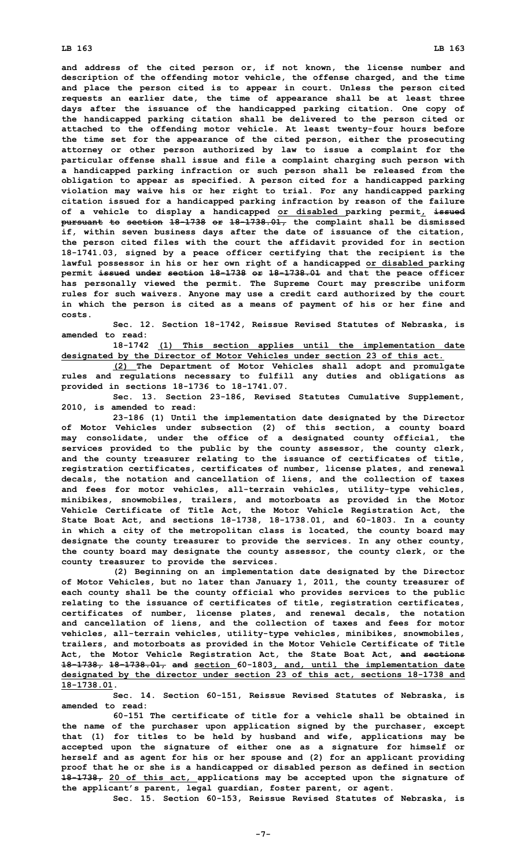**and address of the cited person or, if not known, the license number and description of the offending motor vehicle, the offense charged, and the time and place the person cited is to appear in court. Unless the person cited requests an earlier date, the time of appearance shall be at least three days after the issuance of the handicapped parking citation. One copy of the handicapped parking citation shall be delivered to the person cited or attached to the offending motor vehicle. At least twenty-four hours before the time set for the appearance of the cited person, either the prosecuting attorney or other person authorized by law to issue <sup>a</sup> complaint for the particular offense shall issue and file <sup>a</sup> complaint charging such person with <sup>a</sup> handicapped parking infraction or such person shall be released from the obligation to appear as specified. A person cited for <sup>a</sup> handicapped parking violation may waive his or her right to trial. For any handicapped parking citation issued for <sup>a</sup> handicapped parking infraction by reason of the failure of <sup>a</sup> vehicle to display <sup>a</sup> handicapped or disabled parking permit, issued pursuant to section 18-1738 or 18-1738.01, the complaint shall be dismissed if, within seven business days after the date of issuance of the citation, the person cited files with the court the affidavit provided for in section 18-1741.03, signed by <sup>a</sup> peace officer certifying that the recipient is the lawful possessor in his or her own right of <sup>a</sup> handicapped or disabled parking permit issued under section 18-1738 or 18-1738.01 and that the peace officer has personally viewed the permit. The Supreme Court may prescribe uniform rules for such waivers. Anyone may use <sup>a</sup> credit card authorized by the court in which the person is cited as <sup>a</sup> means of payment of his or her fine and costs.**

**Sec. 12. Section 18-1742, Reissue Revised Statutes of Nebraska, is amended to read:**

**18-1742 (1) This section applies until the implementation date designated by the Director of Motor Vehicles under section 23 of this act.**

**(2) The Department of Motor Vehicles shall adopt and promulgate rules and regulations necessary to fulfill any duties and obligations as provided in sections 18-1736 to 18-1741.07.**

**Sec. 13. Section 23-186, Revised Statutes Cumulative Supplement, 2010, is amended to read:**

**23-186 (1) Until the implementation date designated by the Director of Motor Vehicles under subsection (2) of this section, <sup>a</sup> county board may consolidate, under the office of <sup>a</sup> designated county official, the services provided to the public by the county assessor, the county clerk, and the county treasurer relating to the issuance of certificates of title, registration certificates, certificates of number, license plates, and renewal decals, the notation and cancellation of liens, and the collection of taxes and fees for motor vehicles, all-terrain vehicles, utility-type vehicles, minibikes, snowmobiles, trailers, and motorboats as provided in the Motor Vehicle Certificate of Title Act, the Motor Vehicle Registration Act, the State Boat Act, and sections 18-1738, 18-1738.01, and 60-1803. In <sup>a</sup> county in which <sup>a</sup> city of the metropolitan class is located, the county board may designate the county treasurer to provide the services. In any other county, the county board may designate the county assessor, the county clerk, or the county treasurer to provide the services.**

**(2) Beginning on an implementation date designated by the Director of Motor Vehicles, but no later than January 1, 2011, the county treasurer of each county shall be the county official who provides services to the public relating to the issuance of certificates of title, registration certificates, certificates of number, license plates, and renewal decals, the notation and cancellation of liens, and the collection of taxes and fees for motor vehicles, all-terrain vehicles, utility-type vehicles, minibikes, snowmobiles, trailers, and motorboats as provided in the Motor Vehicle Certificate of Title Act, the Motor Vehicle Registration Act, the State Boat Act, and sections 18-1738, 18-1738.01, and section 60-1803, and, until the implementation date designated by the director under section 23 of this act, sections 18-1738 and 18-1738.01.**

**Sec. 14. Section 60-151, Reissue Revised Statutes of Nebraska, is amended to read:**

**60-151 The certificate of title for a vehicle shall be obtained in the name of the purchaser upon application signed by the purchaser, except that (1) for titles to be held by husband and wife, applications may be accepted upon the signature of either one as <sup>a</sup> signature for himself or herself and as agent for his or her spouse and (2) for an applicant providing proof that he or she is <sup>a</sup> handicapped or disabled person as defined in section 18-1738, 20 of this act, applications may be accepted upon the signature of the applicant's parent, legal guardian, foster parent, or agent.**

**Sec. 15. Section 60-153, Reissue Revised Statutes of Nebraska, is**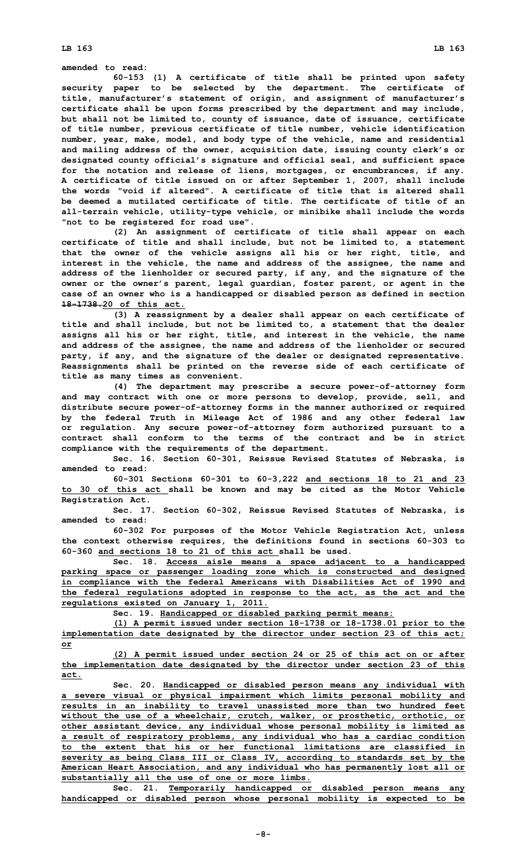**LB 163 LB 163**

## **amended to read:**

**60-153 (1) <sup>A</sup> certificate of title shall be printed upon safety security paper to be selected by the department. The certificate of title, manufacturer's statement of origin, and assignment of manufacturer's certificate shall be upon forms prescribed by the department and may include, but shall not be limited to, county of issuance, date of issuance, certificate of title number, previous certificate of title number, vehicle identification number, year, make, model, and body type of the vehicle, name and residential and mailing address of the owner, acquisition date, issuing county clerk's or designated county official's signature and official seal, and sufficient space for the notation and release of liens, mortgages, or encumbrances, if any. <sup>A</sup> certificate of title issued on or after September 1, 2007, shall include the words "void if altered". A certificate of title that is altered shall be deemed a mutilated certificate of title. The certificate of title of an all-terrain vehicle, utility-type vehicle, or minibike shall include the words "not to be registered for road use".**

**(2) An assignment of certificate of title shall appear on each certificate of title and shall include, but not be limited to, <sup>a</sup> statement that the owner of the vehicle assigns all his or her right, title, and interest in the vehicle, the name and address of the assignee, the name and address of the lienholder or secured party, if any, and the signature of the owner or the owner's parent, legal guardian, foster parent, or agent in the case of an owner who is <sup>a</sup> handicapped or disabled person as defined in section 18-1738.20 of this act.**

**(3) <sup>A</sup> reassignment by <sup>a</sup> dealer shall appear on each certificate of title and shall include, but not be limited to, <sup>a</sup> statement that the dealer assigns all his or her right, title, and interest in the vehicle, the name and address of the assignee, the name and address of the lienholder or secured party, if any, and the signature of the dealer or designated representative. Reassignments shall be printed on the reverse side of each certificate of title as many times as convenient.**

**(4) The department may prescribe <sup>a</sup> secure power-of-attorney form and may contract with one or more persons to develop, provide, sell, and distribute secure power-of-attorney forms in the manner authorized or required by the federal Truth in Mileage Act of 1986 and any other federal law or regulation. Any secure power-of-attorney form authorized pursuant to <sup>a</sup> contract shall conform to the terms of the contract and be in strict compliance with the requirements of the department.**

**Sec. 16. Section 60-301, Reissue Revised Statutes of Nebraska, is amended to read:**

**60-301 Sections 60-301 to 60-3,222 and sections 18 to 21 and 23 to 30 of this act shall be known and may be cited as the Motor Vehicle Registration Act.**

**Sec. 17. Section 60-302, Reissue Revised Statutes of Nebraska, is amended to read:**

**60-302 For purposes of the Motor Vehicle Registration Act, unless the context otherwise requires, the definitions found in sections 60-303 to 60-360 and sections 18 to 21 of this act shall be used.**

**Sec. 18. Access aisle means <sup>a</sup> space adjacent to <sup>a</sup> handicapped parking space or passenger loading zone which is constructed and designed in compliance with the federal Americans with Disabilities Act of 1990 and the federal regulations adopted in response to the act, as the act and the regulations existed on January 1, 2011.**

**Sec. 19. Handicapped or disabled parking permit means:**

**(1) <sup>A</sup> permit issued under section 18-1738 or 18-1738.01 prior to the implementation date designated by the director under section 23 of this act; or**

**(2) <sup>A</sup> permit issued under section 24 or 25 of this act on or after the implementation date designated by the director under section 23 of this act.**

**Sec. 20. Handicapped or disabled person means any individual with <sup>a</sup> severe visual or physical impairment which limits personal mobility and results in an inability to travel unassisted more than two hundred feet without the use of <sup>a</sup> wheelchair, crutch, walker, or prosthetic, orthotic, or other assistant device, any individual whose personal mobility is limited as <sup>a</sup> result of respiratory problems, any individual who has <sup>a</sup> cardiac condition to the extent that his or her functional limitations are classified in severity as being Class III or Class IV, according to standards set by the American Heart Association, and any individual who has permanently lost all or substantially all the use of one or more limbs.**

**Sec. 21. Temporarily handicapped or disabled person means any handicapped or disabled person whose personal mobility is expected to be**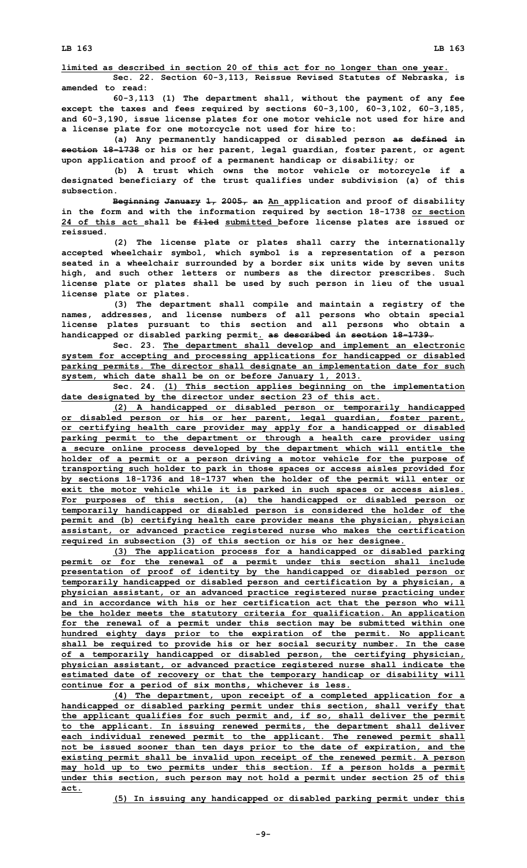**limited as described in section 20 of this act for no longer than one year.**

**Sec. 22. Section 60-3,113, Reissue Revised Statutes of Nebraska, is amended to read:**

**60-3,113 (1) The department shall, without the payment of any fee except the taxes and fees required by sections 60-3,100, 60-3,102, 60-3,185, and 60-3,190, issue license plates for one motor vehicle not used for hire and <sup>a</sup> license plate for one motorcycle not used for hire to:**

**(a) Any permanently handicapped or disabled person as defined in section 18-1738 or his or her parent, legal guardian, foster parent, or agent upon application and proof of <sup>a</sup> permanent handicap or disability; or**

**(b) <sup>A</sup> trust which owns the motor vehicle or motorcycle if <sup>a</sup> designated beneficiary of the trust qualifies under subdivision (a) of this subsection.**

**Beginning January 1, 2005, an An application and proof of disability in the form and with the information required by section 18-1738 or section 24 of this act shall be filed submitted before license plates are issued or reissued.**

**(2) The license plate or plates shall carry the internationally accepted wheelchair symbol, which symbol is <sup>a</sup> representation of <sup>a</sup> person seated in <sup>a</sup> wheelchair surrounded by <sup>a</sup> border six units wide by seven units high, and such other letters or numbers as the director prescribes. Such license plate or plates shall be used by such person in lieu of the usual license plate or plates.**

**(3) The department shall compile and maintain <sup>a</sup> registry of the names, addresses, and license numbers of all persons who obtain special license plates pursuant to this section and all persons who obtain <sup>a</sup> handicapped or disabled parking permit. as described in section 18-1739.**

**Sec. 23. The department shall develop and implement an electronic system for accepting and processing applications for handicapped or disabled parking permits. The director shall designate an implementation date for such system, which date shall be on or before January 1, 2013.**

**Sec. 24. (1) This section applies beginning on the implementation date designated by the director under section 23 of this act.**

**(2) <sup>A</sup> handicapped or disabled person or temporarily handicapped or disabled person or his or her parent, legal guardian, foster parent, or certifying health care provider may apply for <sup>a</sup> handicapped or disabled parking permit to the department or through <sup>a</sup> health care provider using <sup>a</sup> secure online process developed by the department which will entitle the holder of <sup>a</sup> permit or <sup>a</sup> person driving <sup>a</sup> motor vehicle for the purpose of transporting such holder to park in those spaces or access aisles provided for by sections 18-1736 and 18-1737 when the holder of the permit will enter or exit the motor vehicle while it is parked in such spaces or access aisles. For purposes of this section, (a) the handicapped or disabled person or temporarily handicapped or disabled person is considered the holder of the permit and (b) certifying health care provider means the physician, physician assistant, or advanced practice registered nurse who makes the certification required in subsection (3) of this section or his or her designee.**

**(3) The application process for <sup>a</sup> handicapped or disabled parking permit or for the renewal of <sup>a</sup> permit under this section shall include presentation of proof of identity by the handicapped or disabled person or temporarily handicapped or disabled person and certification by <sup>a</sup> physician, <sup>a</sup> physician assistant, or an advanced practice registered nurse practicing under and in accordance with his or her certification act that the person who will be the holder meets the statutory criteria for qualification. An application for the renewal of <sup>a</sup> permit under this section may be submitted within one hundred eighty days prior to the expiration of the permit. No applicant shall be required to provide his or her social security number. In the case of <sup>a</sup> temporarily handicapped or disabled person, the certifying physician, physician assistant, or advanced practice registered nurse shall indicate the estimated date of recovery or that the temporary handicap or disability will continue for <sup>a</sup> period of six months, whichever is less.**

**(4) The department, upon receipt of <sup>a</sup> completed application for <sup>a</sup> handicapped or disabled parking permit under this section, shall verify that the applicant qualifies for such permit and, if so, shall deliver the permit to the applicant. In issuing renewed permits, the department shall deliver each individual renewed permit to the applicant. The renewed permit shall not be issued sooner than ten days prior to the date of expiration, and the existing permit shall be invalid upon receipt of the renewed permit. A person may hold up to two permits under this section. If <sup>a</sup> person holds <sup>a</sup> permit under this section, such person may not hold <sup>a</sup> permit under section 25 of this act.**

**(5) In issuing any handicapped or disabled parking permit under this**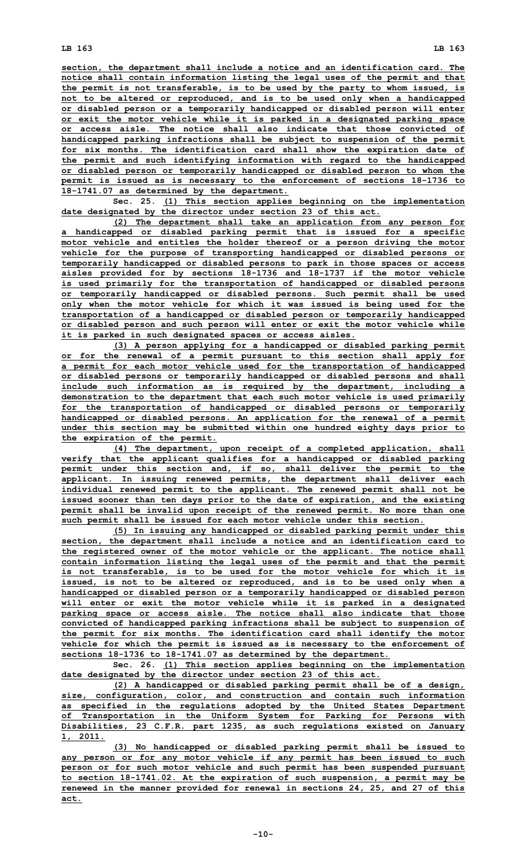**section, the department shall include <sup>a</sup> notice and an identification card. The notice shall contain information listing the legal uses of the permit and that the permit is not transferable, is to be used by the party to whom issued, is not to be altered or reproduced, and is to be used only when <sup>a</sup> handicapped or disabled person or <sup>a</sup> temporarily handicapped or disabled person will enter or exit the motor vehicle while it is parked in <sup>a</sup> designated parking space or access aisle. The notice shall also indicate that those convicted of handicapped parking infractions shall be subject to suspension of the permit for six months. The identification card shall show the expiration date of the permit and such identifying information with regard to the handicapped or disabled person or temporarily handicapped or disabled person to whom the permit is issued as is necessary to the enforcement of sections 18-1736 to 18-1741.07 as determined by the department.**

**Sec. 25. (1) This section applies beginning on the implementation date designated by the director under section 23 of this act.**

**(2) The department shall take an application from any person for <sup>a</sup> handicapped or disabled parking permit that is issued for <sup>a</sup> specific motor vehicle and entitles the holder thereof or <sup>a</sup> person driving the motor vehicle for the purpose of transporting handicapped or disabled persons or temporarily handicapped or disabled persons to park in those spaces or access aisles provided for by sections 18-1736 and 18-1737 if the motor vehicle is used primarily for the transportation of handicapped or disabled persons or temporarily handicapped or disabled persons. Such permit shall be used only when the motor vehicle for which it was issued is being used for the transportation of <sup>a</sup> handicapped or disabled person or temporarily handicapped or disabled person and such person will enter or exit the motor vehicle while it is parked in such designated spaces or access aisles.**

**(3) <sup>A</sup> person applying for <sup>a</sup> handicapped or disabled parking permit or for the renewal of <sup>a</sup> permit pursuant to this section shall apply for <sup>a</sup> permit for each motor vehicle used for the transportation of handicapped or disabled persons or temporarily handicapped or disabled persons and shall include such information as is required by the department, including <sup>a</sup> demonstration to the department that each such motor vehicle is used primarily for the transportation of handicapped or disabled persons or temporarily handicapped or disabled persons. An application for the renewal of <sup>a</sup> permit under this section may be submitted within one hundred eighty days prior to the expiration of the permit.**

**(4) The department, upon receipt of <sup>a</sup> completed application, shall verify that the applicant qualifies for <sup>a</sup> handicapped or disabled parking permit under this section and, if so, shall deliver the permit to the applicant. In issuing renewed permits, the department shall deliver each individual renewed permit to the applicant. The renewed permit shall not be issued sooner than ten days prior to the date of expiration, and the existing permit shall be invalid upon receipt of the renewed permit. No more than one such permit shall be issued for each motor vehicle under this section.**

**(5) In issuing any handicapped or disabled parking permit under this section, the department shall include <sup>a</sup> notice and an identification card to the registered owner of the motor vehicle or the applicant. The notice shall contain information listing the legal uses of the permit and that the permit is not transferable, is to be used for the motor vehicle for which it is issued, is not to be altered or reproduced, and is to be used only when <sup>a</sup> handicapped or disabled person or <sup>a</sup> temporarily handicapped or disabled person will enter or exit the motor vehicle while it is parked in <sup>a</sup> designated parking space or access aisle. The notice shall also indicate that those convicted of handicapped parking infractions shall be subject to suspension of the permit for six months. The identification card shall identify the motor vehicle for which the permit is issued as is necessary to the enforcement of sections 18-1736 to 18-1741.07 as determined by the department.**

**Sec. 26. (1) This section applies beginning on the implementation date designated by the director under section 23 of this act.**

**(2) <sup>A</sup> handicapped or disabled parking permit shall be of <sup>a</sup> design, size, configuration, color, and construction and contain such information as specified in the regulations adopted by the United States Department of Transportation in the Uniform System for Parking for Persons with Disabilities, 23 C.F.R. part 1235, as such regulations existed on January 1, 2011.**

**(3) No handicapped or disabled parking permit shall be issued to any person or for any motor vehicle if any permit has been issued to such person or for such motor vehicle and such permit has been suspended pursuant to section 18-1741.02. At the expiration of such suspension, <sup>a</sup> permit may be renewed in the manner provided for renewal in sections 24, 25, and 27 of this act.**